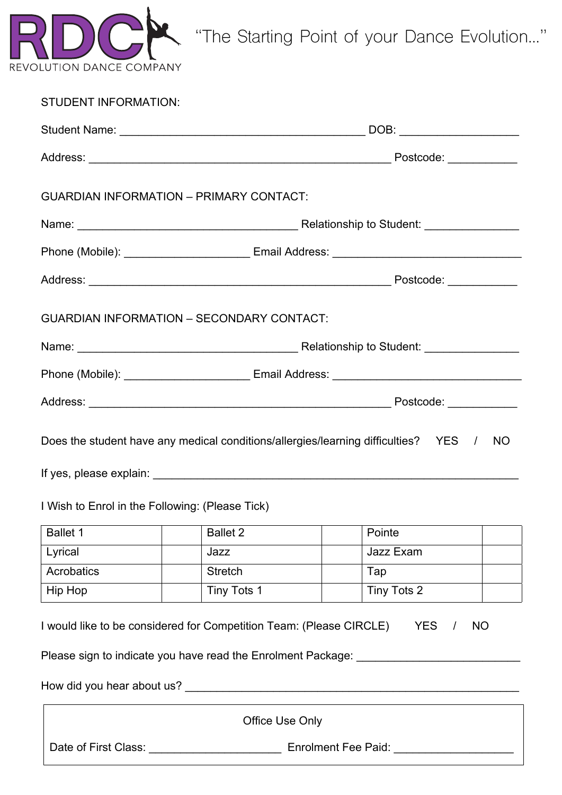

"The Starting Point of your Dance Evolution…"

| <b>STUDENT INFORMATION:</b>                     |                                                                                                                                                                         |  |                 |           |  |
|-------------------------------------------------|-------------------------------------------------------------------------------------------------------------------------------------------------------------------------|--|-----------------|-----------|--|
|                                                 |                                                                                                                                                                         |  |                 |           |  |
|                                                 |                                                                                                                                                                         |  |                 |           |  |
|                                                 | <b>GUARDIAN INFORMATION - PRIMARY CONTACT:</b>                                                                                                                          |  |                 |           |  |
|                                                 |                                                                                                                                                                         |  |                 |           |  |
|                                                 |                                                                                                                                                                         |  |                 |           |  |
|                                                 |                                                                                                                                                                         |  |                 |           |  |
|                                                 | <b>GUARDIAN INFORMATION - SECONDARY CONTACT:</b>                                                                                                                        |  |                 |           |  |
|                                                 |                                                                                                                                                                         |  |                 |           |  |
|                                                 |                                                                                                                                                                         |  |                 |           |  |
|                                                 |                                                                                                                                                                         |  |                 |           |  |
|                                                 | Does the student have any medical conditions/allergies/learning difficulties? YES /                                                                                     |  |                 | <b>NO</b> |  |
| I Wish to Enrol in the Following: (Please Tick) |                                                                                                                                                                         |  |                 |           |  |
| <b>Ballet 1</b>                                 | <b>Ballet 2</b>                                                                                                                                                         |  | Pointe          |           |  |
| Lyrical                                         | Jazz                                                                                                                                                                    |  | Jazz Exam       |           |  |
| Acrobatics                                      | <b>Stretch</b>                                                                                                                                                          |  | Tap             |           |  |
| Hip Hop                                         | Tiny Tots 1                                                                                                                                                             |  | Tiny Tots 2     |           |  |
|                                                 | I would like to be considered for Competition Team: (Please CIRCLE)<br>Please sign to indicate you have read the Enrolment Package: <b>Company of the State Package</b> |  | YES<br>$\prime$ | <b>NO</b> |  |
|                                                 |                                                                                                                                                                         |  |                 |           |  |
|                                                 | <b>Office Use Only</b>                                                                                                                                                  |  |                 |           |  |
| Date of First Class:                            | <b>Enrolment Fee Paid:</b>                                                                                                                                              |  |                 |           |  |